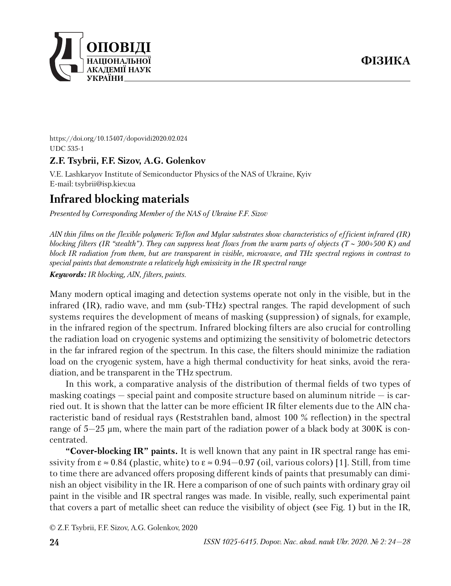

https://doi.org/10.15407/dopovidi2020.02.024 UDC 535-1

## **Z.F. Tsybrii, F.F. Sizov, A.G. Golenkov**

V.E. Lashkaryov Institute of Semiconductor Physics of the NAS of Ukraine, Kyiv E-mail: tsybrii@isp.kiev.ua

# **Infrared blocking materials**

*Presented by Corresponding Member of the NAS of Ukraine F.F. Sizov*

*AlN thin films on the flexible polymeric Teflon and Mylar substrates show characteristics of efficient infrared (IR) blocking filters (IR "stealth"). They can suppress heat flows from the warm parts of objects (T* ∼ *300*÷*500 K) and block IR radiation from them, but are transparent in visible, microwave, and THz spectral regions in contrast to special paints that demonstrate a relatively high emissivity in the IR spectral range*

*Keywords: IR blocking, AlN, filters, paints.*

Many modern optical imaging and detection systems operate not only in the visible, but in the infrared (IR), radio wave, and mm (sub-THz) spectral ranges. The rapid development of such systems requires the development of means of masking (suppression) of signals, for example, in the infrared region of the spectrum. Infrared blocking filters are also crucial for controlling the radiation load on cryogenic systems and optimizing the sensitivity of bolometric detectors in the far infrared region of the spectrum. In this case, the filters should minimize the radiation load on the cryogenic system, have a high thermal conductivity for heat sinks, avoid the reradiation, and be transparent in the THz spectrum.

In this work, a comparative analysis of the distribution of thermal fields of two types of masking coatings  $-$  special paint and composite structure based on aluminum nitride  $-$  is carried out. It is shown that the latter can be more efficient IR filter elements due to the AlN characteristic band of residual rays (Reststrahlen band, almost 100 % reflection) in the spectral range of 5—25 µm, where the main part of the radiation power of a black body at 300K is concentrated.

**"Cover-blocking IR" paints.** It is well known that any paint in IR spectral range has emissivity from  $\varepsilon \approx 0.84$  (plastic, white) to  $\varepsilon \approx 0.94-0.97$  (oil, various colors) [1]. Still, from time to time there are advanced offers proposing different kinds of paints that presumably can diminish an object visibility in the IR. Here a comparison of one of such paints with ordinary gray oil paint in the visible and IR spectral ranges was made. In visible, really, such experimental paint that covers a part of metallic sheet can reduce the visibility of object (see Fig. 1) but in the IR,

© Z.F. Tsybrii, F.F. Sizov, A.G. Golenkov, 2020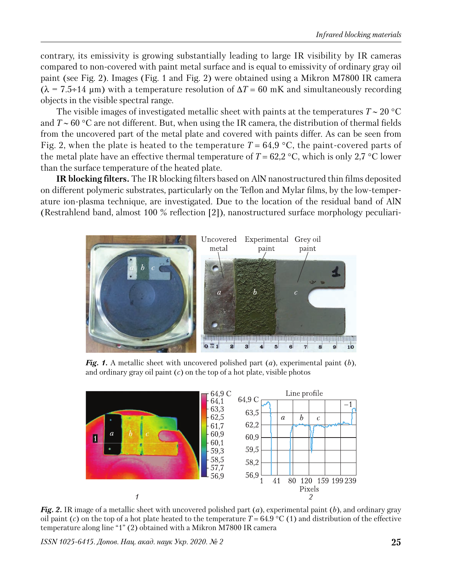contrary, its emissivity is growing substantially leading to large IR visibility by IR cameras compared to non-covered with paint metal surface and is equal to emissivity of ordinary gray oil paint (see Fig. 2). Images (Fig. 1 and Fig. 2) were obtained using a Mikron M7800 IR camera  $(\lambda = 7.5 \div 14 \mu m)$  with a temperature resolution of  $\Delta T = 60 \text{ mK}$  and simultaneously recording objects in the visible spectral range.

The visible images of investigated metallic sheet with paints at the temperatures *Т* ∼ 20 °С and *Т* ∼ 60 °С are not different. But, when using the IR camera, the distribution of thermal fields from the uncovered part of the metal plate and covered with paints differ. As can be seen from Fig. 2, when the plate is heated to the temperature  $T = 64.9 \degree C$ , the paint-covered parts of the metal plate have an effective thermal temperature of  $T = 62.2 \text{ °C}$ , which is only 2,7  $\text{ °C}$  lower than the surface temperature of the heated plate.

**IR blocking filters.** The IR blocking filters based on AlN nanostructured thin films deposited on different polymeric substrates, particularly on the Teflon and Mylar films, by the low-temperature ion-plasma technique, are investigated. Due to the location of the residual band of AlN (Restrahlend band, almost 100 % reflection [2]), nanostructured surface morphology peculiari-



*Fig. 1.* A metallic sheet with uncovered polished part (*a*), experimental paint (*b*), and ordinary gray oil paint (*c*) on the top of a hot plate, visible photos



*Fig. 2.* IR image of a metallic sheet with uncovered polished part (*a*), experimental paint (*b*), and ordinary gray oil paint (*c*) on the top of a hot plate heated to the temperature  $T = 64.9 \degree C$  (1) and distribution of the effective temperature along line "1" (2) obtained with a Mikron M7800 IR camera

*ISSN 1025-6415. Допов. Нац. акад. наук Укр. 2020. № 2* **25**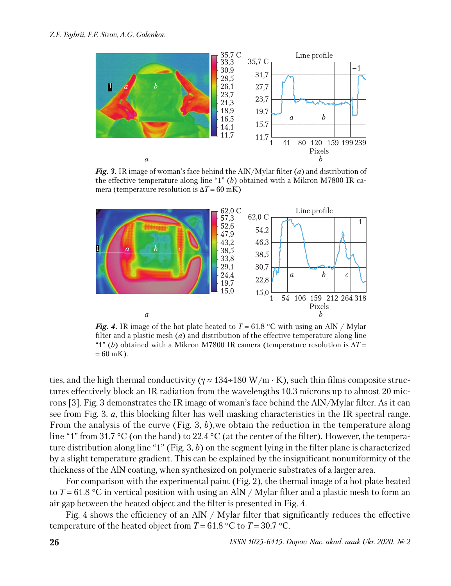

*Fig. 3.* IR image of woman's face behind the AlN/Mylar filter (*a*) and distribution of the effective temperature along line "1" (*b*) obtained with a Mikron M7800 IR camera (temperature resolution is  $\Delta T = 60$  mK)



*Fig. 4.* IR image of the hot plate heated to  $T = 61.8$  °C with using an AlN / Mylar filter and a plastic mesh (*a*) and distribution of the effective temperature along line "1" (*b*) obtained with a Mikron M7800 IR camera (temperature resolution is ∆*T* =  $= 60$  mK).

ties, and the high thermal conductivity ( $\gamma \approx 134 \div 180 \text{ W/m} \cdot \text{K}$ ), such thin films composite structures effectively block an IR radiation from the wavelengths 10.3 microns up to almost 20 microns [3]. Fig. 3 demonstrates the IR image of woman's face behind the AlN/Mylar filter. As it can see from Fig. 3, *a*, this blocking filter has well masking characteristics in the IR spectral range. From the analysis of the curve (Fig. 3, *b*),we obtain the reduction in the temperature along line "1" from 31.7 °C (on the hand) to 22.4 °C (at the center of the filter). However, the temperature distribution along line "1" (Fig. 3, *b*) on the segment lying in the filter plane is characterized by a slight temperature gradient. This can be explained by the insignificant nonuniformity of the thickness of the AlN coating, when synthesized on polymeric substrates of a larger area.

For comparison with the experimental paint (Fig. 2), the thermal image of a hot plate heated to  $T = 61.8 \text{ °C}$  in vertical position with using an AlN / Mylar filter and a plastic mesh to form an air gap between the heated object and the filter is presented in Fig. 4.

Fig. 4 shows the efficiency of an AlN / Mylar filter that significantly reduces the effective temperature of the heated object from  $T = 61.8 \degree C$  to  $T = 30.7 \degree C$ .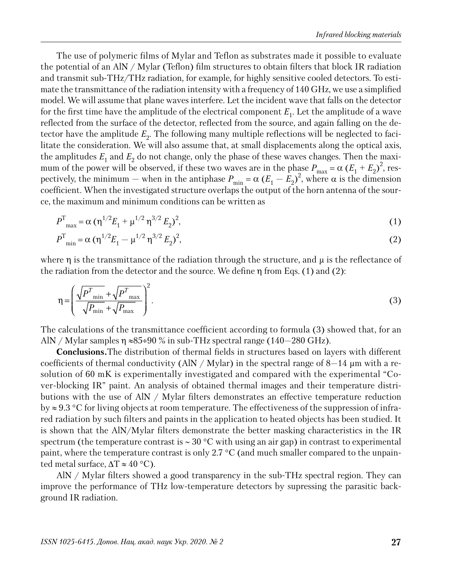The use of polymeric films of Mylar and Teflon as substrates made it possible to evaluate the potential of an AlN / Mylar (Teflon) film structures to obtain filters that block IR radiation and transmit sub-THz/THz radiation, for example, for highly sensitive cooled detectors. To estimate the transmittance of the radiation intensity with a frequency of 140 GHz, we use a simplified model. We will assume that plane waves interfere. Let the incident wave that falls on the detector for the first time have the amplitude of the electrical component  $E_1$ . Let the amplitude of a wave reflected from the surface of the detector, reflected from the source, and again falling on the detector have the amplitude  $E_{2}$ . The following many multiple reflections will be neglected to facilitate the consideration. We will also assume that, at small displacements along the optical axis, the amplitudes  $E_1$  and  $E_2$  do not change, only the phase of these waves changes. Then the maximum of the power will be observed, if these two waves are in the phase  $P_{\text{max}} = \alpha (E_1 + E_2)^2$ , respectively, the minimum – when in the antiphase  $P_{\min} = \alpha (E_1 - E_2)^2$ , where  $\alpha$  is the dimension coefficient. When the investigated structure overlaps the output of the horn antenna of the source, the maximum and minimum conditions can be written as

$$
P_{\text{max}}^{\text{T}} = \alpha \left( \eta^{1/2} E_1 + \mu^{1/2} \eta^{3/2} E_2 \right)^2, \tag{1}
$$

$$
P_{\min}^{\mathrm{T}} = \alpha \left( \eta^{1/2} E_1 - \mu^{1/2} \eta^{3/2} E_2 \right)^2, \tag{2}
$$

where  $\eta$  is the transmittance of the radiation through the structure, and  $\mu$  is the reflectance of the radiation from the detector and the source. We define  $\eta$  from Eqs. (1) and (2):

$$
\eta = \left(\frac{\sqrt{P_{\min}^T} + \sqrt{P_{\max}^T}}{\sqrt{P_{\min}} + \sqrt{P_{\max}}}\right)^2.
$$
\n(3)

The calculations of the transmittance coefficient according to formula (3) showed that, for an AlN / Mylar samples  $\eta \approx 85 \div 90$  % in sub-THz spectral range (140–280 GHz).

**Conclusions.**The distribution of thermal fields in structures based on layers with different coefficients of thermal conductivity (AlN / Mylar) in the spectral range of  $8-14 \mu m$  with a resolution of 60 mK is experimentally investigated and compared with the experimental "Cover-blocking IR" paint. An analysis of obtained thermal images and their temperature distributions with the use of AlN / Mylar filters demonstrates an effective temperature reduction by ≈ 9.3 °C for living objects at room temperature. The effectiveness of the suppression of infrared radiation by such filters and paints in the application to heated objects has been studied. It is shown that the AlN/Mylar filters demonstrate the better masking characteristics in the IR spectrum (the temperature contrast is ~ 30 °C with using an air gap) in contrast to experimental paint, where the temperature contrast is only 2.7 °C (and much smaller compared to the unpainted metal surface,  $\Delta T \approx 40$  °C).

AlN / Mylar filters showed a good transparency in the sub-THz spectral region. They can improve the performance of THz low-temperature detectors by supressing the parasitic background IR radiation.